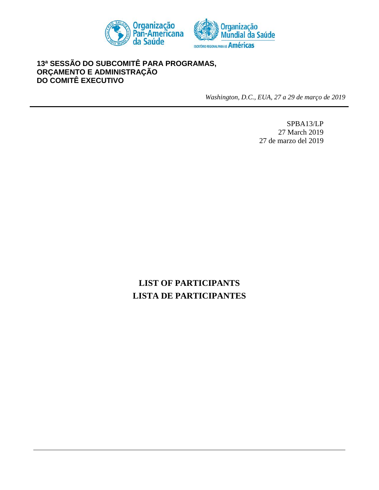



## **13<sup>a</sup> SESSÃO DO SUBCOMITÊ PARA PROGRAMAS, ORÇAMENTO E ADMINISTRAÇÃO DO COMITÊ EXECUTIVO**

*Washington, D.C., EUA, 27 a 29 de março de 2019*

SPBA13/LP 27 March 2019 27 de marzo del 2019

# **LIST OF PARTICIPANTS LISTA DE PARTICIPANTES**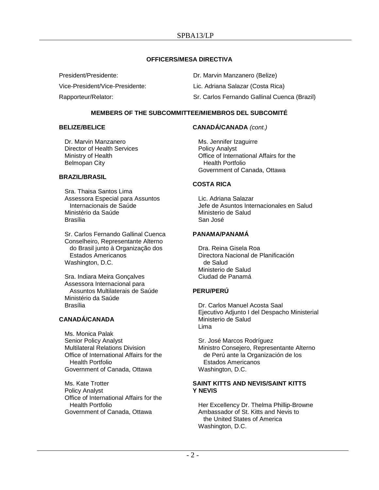## **OFFICERS/MESA DIRECTIVA**

President/Presidente: Dr. Marvin Manzanero (Belize)

Vice-President/Vice-Presidente: Lic. Adriana Salazar (Costa Rica)

Rapporteur/Relator: Sr. Carlos Fernando Gallinal Cuenca (Brazil)

## **MEMBERS OF THE SUBCOMMITTEE/MIEMBROS DEL SUBCOMITÉ**

## **BELIZE/BELICE**

Dr. Marvin Manzanero Director of Health Services Ministry of Health Belmopan City

## **BRAZIL/BRASIL**

Sra. Thaisa Santos Lima Assessora Especial para Assuntos Internacionais de Saúde Ministério da Saúde Brasília

Sr. Carlos Fernando Gallinal Cuenca Conselheiro, Representante Alterno do Brasil junto à Organização dos Estados Americanos Washington, D.C.

Sra. Indiara Meira Gonçalves Assessora Internacional para Assuntos Multilaterais de Saúde Ministério da Saúde Brasília

## **CANADÁ/CANADA**

Ms. Monica Palak Senior Policy Analyst Multilateral Relations Division Office of International Affairs for the Health Portfolio Government of Canada, Ottawa

Ms. Kate Trotter Policy Analyst Office of International Affairs for the Health Portfolio Government of Canada, Ottawa

## **CANADÁ/CANADA** *(cont.)*

Ms. Jennifer Izaguirre Policy Analyst Office of International Affairs for the Health Portfolio Government of Canada, Ottawa

## **COSTA RICA**

Lic. Adriana Salazar Jefe de Asuntos Internacionales en Salud Ministerio de Salud San José

## **PANAMA/PANAMÁ**

Dra. Reina Gisela Roa Directora Nacional de Planificación de Salud Ministerio de Salud Ciudad de Panamá

## **PERU/PERÚ**

Dr. Carlos Manuel Acosta Saal Ejecutivo Adjunto I del Despacho Ministerial Ministerio de Salud Lima

Sr. José Marcos Rodríguez Ministro Consejero, Representante Alterno de Perú ante la Organización de los Estados Americanos Washington, D.C.

### **SAINT KITTS AND NEVIS/SAINT KITTS Y NEVIS**

Her Excellency Dr. Thelma Phillip-Browne Ambassador of St. Kitts and Nevis to the United States of America Washington, D.C.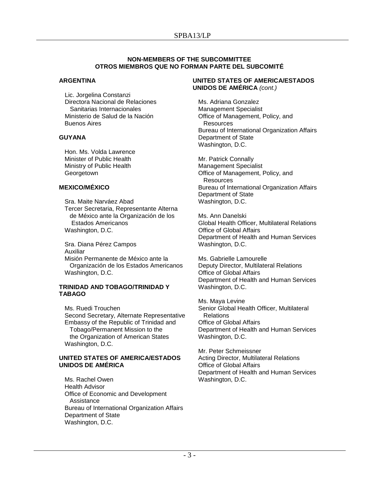#### **NON-MEMBERS OF THE SUBCOMMITTEE OTROS MIEMBROS QUE NO FORMAN PARTE DEL SUBCOMITÉ**

#### **ARGENTINA**

Lic. Jorgelina Constanzi Directora Nacional de Relaciones Sanitarias Internacionales Ministerio de Salud de la Nación Buenos Aires

#### **GUYANA**

Hon. Ms. Volda Lawrence Minister of Public Health Ministry of Public Health **Georgetown** 

#### **MEXICO/MÉXICO**

Sra. Maite Narváez Abad Tercer Secretaria, Representante Alterna de México ante la Organización de los Estados Americanos Washington, D.C.

Sra. Diana Pérez Campos Auxiliar Misión Permanente de México ante la Organización de los Estados Americanos Washington, D.C.

#### **TRINIDAD AND TOBAGO/TRINIDAD Y TABAGO**

Ms. Ruedi Trouchen Second Secretary, Alternate Representative Embassy of the Republic of Trinidad and Tobago/Permanent Mission to the the Organization of American States Washington, D.C.

#### **UNITED STATES OF AMERICA/ESTADOS UNIDOS DE AMÉRICA**

Ms. Rachel Owen Health Advisor Office of Economic and Development **Assistance** Bureau of International Organization Affairs Department of State Washington, D.C.

#### **UNITED STATES OF AMERICA/ESTADOS UNIDOS DE AMÉRICA** *(cont.)*

Ms. Adriana Gonzalez Management Specialist Office of Management, Policy, and Resources Bureau of International Organization Affairs Department of State Washington, D.C.

Mr. Patrick Connally Management Specialist Office of Management, Policy, and **Resources** Bureau of International Organization Affairs Department of State Washington, D.C.

Ms. Ann Danelski Global Health Officer, Multilateral Relations Office of Global Affairs Department of Health and Human Services Washington, D.C.

Ms. Gabrielle Lamourelle Deputy Director, Multilateral Relations Office of Global Affairs Department of Health and Human Services Washington, D.C.

Ms. Maya Levine Senior Global Health Officer, Multilateral Relations Office of Global Affairs Department of Health and Human Services Washington, D.C.

Mr. Peter Schmeissner Acting Director, Multilateral Relations Office of Global Affairs Department of Health and Human Services Washington, D.C.